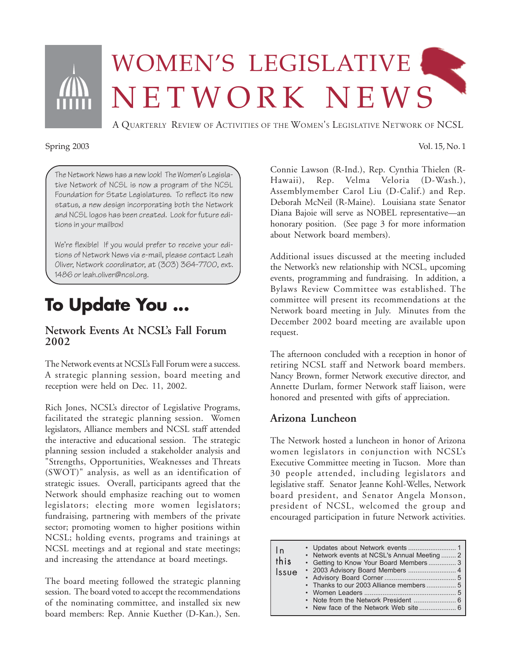

# WOMEN'S LEGISLATIVE NETWORK NEWS

A QUARTERLY REVIEW OF ACTIVITIES OF THE WOMEN'S LEGISLATIVE NETWORK OF NCSL

#### Spring 2003 Vol. 15, No. 1

The Network News has a new look! The Women's Legislative Network of NCSL is now a program of the NCSL Foundation for State Legislatures. To reflect its new status, a new design incorporating both the Network and NCSL logos has been created. Look for future editions in your mailbox!

We're flexible! If you would prefer to receive your editions of Network News via e-mail, please contact Leah Oliver, Network coordinator, at (303) 364-7700, ext. 1486 or leah.oliver@ncsl.org.

### **To Update You ...**

#### **Network Events At NCSL's Fall Forum 2002**

The Network events at NCSL's Fall Forum were a success. A strategic planning session, board meeting and reception were held on Dec. 11, 2002.

Rich Jones, NCSL's director of Legislative Programs, facilitated the strategic planning session. Women legislators, Alliance members and NCSL staff attended the interactive and educational session. The strategic planning session included a stakeholder analysis and "Strengths, Opportunities, Weaknesses and Threats (SWOT)" analysis, as well as an identification of strategic issues. Overall, participants agreed that the Network should emphasize reaching out to women legislators; electing more women legislators; fundraising, partnering with members of the private sector; promoting women to higher positions within NCSL; holding events, programs and trainings at NCSL meetings and at regional and state meetings; and increasing the attendance at board meetings.

The board meeting followed the strategic planning session. The board voted to accept the recommendations of the nominating committee, and installed six new board members: Rep. Annie Kuether (D-Kan.), Sen.

Connie Lawson (R-Ind.), Rep. Cynthia Thielen (R-Hawaii), Rep. Velma Veloria (D-Wash.), Assemblymember Carol Liu (D-Calif.) and Rep. Deborah McNeil (R-Maine). Louisiana state Senator Diana Bajoie will serve as NOBEL representative—an honorary position. (See page 3 for more information about Network board members).

Additional issues discussed at the meeting included the Network's new relationship with NCSL, upcoming events, programming and fundraising. In addition, a Bylaws Review Committee was established. The committee will present its recommendations at the Network board meeting in July. Minutes from the December 2002 board meeting are available upon request.

The afternoon concluded with a reception in honor of retiring NCSL staff and Network board members. Nancy Brown, former Network executive director, and Annette Durlam, former Network staff liaison, were honored and presented with gifts of appreciation.

#### **Arizona Luncheon**

The Network hosted a luncheon in honor of Arizona women legislators in conjunction with NCSL's Executive Committee meeting in Tucson. More than 30 people attended, including legislators and legislative staff. Senator Jeanne Kohl-Welles, Network board president, and Senator Angela Monson, president of NCSL, welcomed the group and encouraged participation in future Network activities.

| $\ln$<br>this<br>Issue | • Network events at NCSL's Annual Meeting  2<br>• Getting to Know Your Board Members3<br>• 2003 Advisory Board Members  4<br>• Thanks to our 2003 Alliance members  5 |
|------------------------|-----------------------------------------------------------------------------------------------------------------------------------------------------------------------|
|------------------------|-----------------------------------------------------------------------------------------------------------------------------------------------------------------------|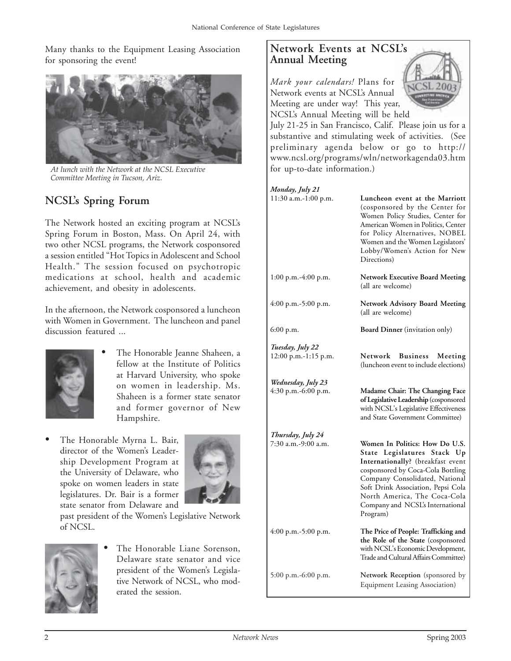Many thanks to the Equipment Leasing Association for sponsoring the event!



*At lunch with the Network at the NCSL Executive Committee Meeting in Tucson, Ariz.*

### **NCSL's Spring Forum**

The Network hosted an exciting program at NCSL's Spring Forum in Boston, Mass. On April 24, with two other NCSL programs, the Network cosponsored a session entitled "Hot Topics in Adolescent and School Health." The session focused on psychotropic medications at school, health and academic achievement, and obesity in adolescents.

In the afternoon, the Network cosponsored a luncheon with Women in Government. The luncheon and panel discussion featured ...



- The Honorable Jeanne Shaheen, a fellow at the Institute of Politics at Harvard University, who spoke on women in leadership. Ms. Shaheen is a former state senator and former governor of New Hampshire.
- The Honorable Myrna L. Bair, director of the Women's Leadership Development Program at the University of Delaware, who spoke on women leaders in state legislatures. Dr. Bair is a former state senator from Delaware and



past president of the Women's Legislative Network of NCSL.



The Honorable Liane Sorenson, Delaware state senator and vice president of the Women's Legislative Network of NCSL, who moderated the session.

#### **Network Events at NCSL's Annual Meeting**

*Mark your calendars!* Plans for Network events at NCSL's Annual Meeting are under way! This year, NCSL's Annual Meeting will be held



July 21-25 in San Francisco, Calif. Please join us for a substantive and stimulating week of activities. (See preliminary agenda below or go to http:// www.ncsl.org/programs/wln/networkagenda03.htm for up-to-date information.)

#### *Monday, July 21*

| 11:30 a.m.-1:00 p.m.                      | Luncheon event at the Marriott<br>(cosponsored by the Center for<br>Women Policy Studies, Center for<br>American Women in Politics, Center<br>for Policy Alternatives, NOBEL<br>Women and the Women Legislators'<br>Lobby/Women's Action for New<br>Directions)                                 |
|-------------------------------------------|-------------------------------------------------------------------------------------------------------------------------------------------------------------------------------------------------------------------------------------------------------------------------------------------------|
| $1:00$ p.m.-4:00 p.m.                     | <b>Network Executive Board Meeting</b><br>(all are welcome)                                                                                                                                                                                                                                     |
| 4:00 p.m.-5:00 p.m.                       | Network Advisory Board Meeting<br>(all are welcome)                                                                                                                                                                                                                                             |
| 6:00 p.m.                                 | <b>Board Dinner</b> (invitation only)                                                                                                                                                                                                                                                           |
| Tuesday, July 22<br>12:00 p.m.-1:15 p.m.  | Network<br><b>Business</b><br>Meeting<br>(luncheon event to include elections)                                                                                                                                                                                                                  |
| Wednesday, July 23<br>4:30 p.m.-6:00 p.m. | Madame Chair: The Changing Face<br>of Legislative Leadership (cosponsored<br>with NCSL's Legislative Effectiveness<br>and State Government Committee)                                                                                                                                           |
| Thursday, July 24                         |                                                                                                                                                                                                                                                                                                 |
| 7:30 a.m.-9:00 a.m.                       | Women In Politics: How Do U.S.<br>State Legislatures Stack Up<br>Internationally? (breakfast event<br>cosponsored by Coca-Cola Bottling<br>Company Consolidated, National<br>Soft Drink Association, Pepsi Cola<br>North America, The Coca-Cola<br>Company and NCSL's International<br>Program) |
| 4:00 p.m.-5:00 p.m.                       | The Price of People: Trafficking and<br>the Role of the State (cosponsored<br>with NCSL's Economic Development,<br>Trade and Cultural Affairs Committee)                                                                                                                                        |
| 5:00 p.m.-6:00 p.m.                       | Network Reception (sponsored by<br><b>Equipment Leasing Association</b> )                                                                                                                                                                                                                       |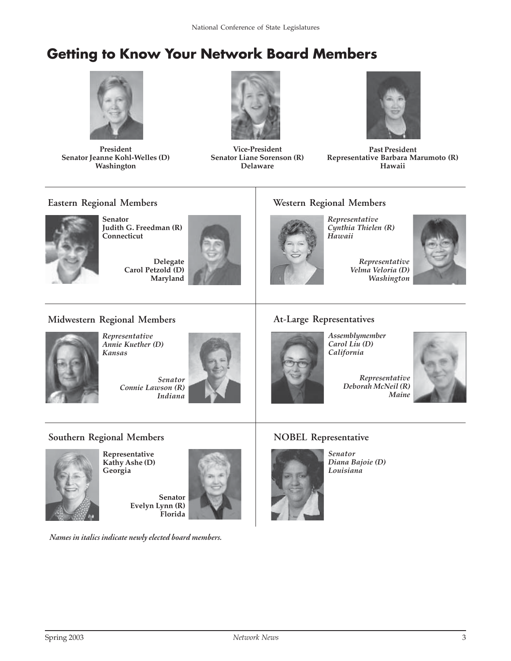### **Getting to Know Your Network Board Members**



**President Senator Jeanne Kohl-Welles (D) Washington**



**Vice-President Senator Liane Sorenson (R) Delaware**



**Past President Representative Barbara Marumoto (R) Hawaii**

#### **Eastern Regional Members**



**Senator Judith G. Freedman (R) Connecticut**

> **Delegate Carol Petzold (D) Maryland**



#### **Western Regional Members**

*Representative Cynthia Thielen (R) Hawaii*



**Midwestern Regional Members**



*Representative Annie Kuether (D) Kansas*

*Senator Connie Lawson (R) Indiana*



#### **At-Large Representatives**

*Assemblymember Carol Liu (D) California*

> *Representative Deborah McNeil (R) Maine*



**Southern Regional Members**



**Representative Kathy Ashe (D) Georgia**

> **Senator Evelyn Lynn (R) Florida**

*Names in italics indicate newly elected board members.*

#### **NOBEL Representative**



*Senator Diana Bajoie (D) Louisiana*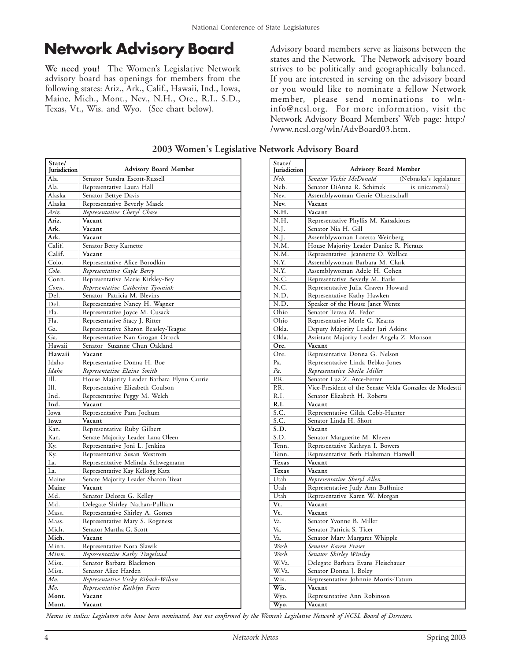### **Network Advisory Board** Advisory board members serve as liaisons between the

**We need you!** The Women's Legislative Network advisory board has openings for members from the following states: Ariz., Ark., Calif., Hawaii, Ind., Iowa, Maine, Mich., Mont., Nev., N.H., Ore., R.I., S.D., Texas, Vt., Wis. and Wyo. (See chart below).

Ala. Ala. Alaska Alaska *Ariz.* **Ariz. Ark. Ark.** Calif. **Calif.** Colo. *Colo.* Conn. *Conn.* Del. Del. Fla. Fla. Ga. Ga. Hawaii **Hawaii** Idaho *Idaho* Ill. Ill. Ind. **Ind.** Iowa **Iowa** Kan. Kan. Ky. Ky. La. La. Maine **Maine** Md. Md. Mass. Mass. Mich. **Mich.** Minn. *Minn.* Miss. Miss. *Mo. Mo.* **Mont. Mont.** Senator Sundra Escott-Russell Representative Laura Hall Senator Bettye Davis Representative Beverly Masek *Representative Cheryl Chase* **Vacant Vacant Vacant** Senator Betty Karnette **Vacant** Representative Alice Borodkin *Representative Gayle Berry* Representative Marie Kirkley-Bey *Representative Catherine Tymniak* Senator Patricia M. Blevins Representative Nancy H. Wagner Representative Joyce M. Cusack Representative Stacy J. Ritter Representative Sharon Beasley-Teague Representative Nan Grogan Orrock Senator Suzanne Chun Oakland **Vacant** Representative Donna H. Boe *Representative Elaine Smith* House Majority Leader Barbara Flynn Currie Representative Elizabeth Coulson Representative Peggy M. Welch **Vacant** Representative Pam Jochum **Vacant** Representative Ruby Gilbert Senate Majority Leader Lana Oleen Representative Joni L. Jenkins Representative Susan Westrom Representative Melinda Schwegmann Representative Kay Kellogg Katz Senate Majority Leader Sharon Treat **Vacant** Senator Delores G. Kelley Delegate Shirley Nathan-Pulliam Representative Shirley A. Gomes Representative Mary S. Rogeness Senator Martha G. Scott **Vacant** Representative Nora Slawik *Representative Kathy Tingelstad* Senator Barbara Blackmon Senator Alice Harden *Representative Vicky Riback-Wilson Representative Kathlyn Fares* **Vacant Vacant State/ Advisory Board Member** 

states and the Network. The Network advisory board strives to be politically and geographically balanced. If you are interested in serving on the advisory board or you would like to nominate a fellow Network member, please send nominations to wlninfo@ncsl.org. For more information, visit the Network Advisory Board Members' Web page: http:/ /www.ncsl.org/wln/AdvBoard03.htm.

**2003 Women's Legislative Network Advisory Board**

| State/              |                                                         |
|---------------------|---------------------------------------------------------|
| <b>Iurisdiction</b> | <b>Advisory Board Member</b>                            |
| Neb.                | Senator Vickie McDonald<br>(Nebraska's legislature      |
| Neb.                | Senator DiAnna R. Schimek<br>is unicameral)             |
| Nev.                | Assemblywoman Genie Ohrenschall                         |
| Nev.                | Vacant                                                  |
| N.H.                | Vacant                                                  |
| N.H.                | Representative Phyllis M. Katsakiores                   |
| N.J.                | Senator Nia H. Gill                                     |
| N.J.                | Assemblywoman Loretta Weinberg                          |
| N.M.                | House Majority Leader Danice R. Picraux                 |
| N.M.                | Representative Jeannette O. Wallace                     |
| N.Y.                | Assemblywoman Barbara M. Clark                          |
| N.Y.                | Assemblywoman Adele H. Cohen                            |
| N.C.                | Representative Beverly M. Earle                         |
| N.C.                | Representative Julia Craven Howard                      |
| N.D.                | Representative Kathy Hawken                             |
| N.D.                | Speaker of the House Janet Wentz                        |
| Ohio                | Senator Teresa M. Fedor                                 |
| Ohio                | Representative Merle G. Kearns                          |
| Okla.               | Deputy Majority Leader Jari Askins                      |
| Okla.               | Assistant Majority Leader Angela Z. Monson              |
| Ore.                | Vacant                                                  |
| Ore.                | Representative Donna G. Nelson                          |
| Pa.                 | Representative Linda Bebko-Jones                        |
| Pa.                 | Representative Sheila Miller                            |
| P.R.                | Senator Luz Z. Arce-Ferrer                              |
| P.R.                | Vice-President of the Senate Velda Gonzalez de Modestti |
| R.I.                | Senator Elizabeth H. Roberts                            |
| R.I.                | Vacant                                                  |
| <u>S.C.</u>         | Representative Gilda Cobb-Hunter                        |
| S.C.                | Senator Linda H. Short                                  |
| S.D.                | Vacant                                                  |
| S.D.                | Senator Marguerite M. Kleven                            |
| Tenn.               | Representative Kathryn I. Bowers                        |
| Tenn.               | Representative Beth Halteman Harwell                    |
| Texas               | Vacant                                                  |
| Texas               | Vacant                                                  |
| Utah                | Representative Sheryl Allen                             |
| Utah                | Representative Judy Ann Buffmire                        |
| Utah                | Representative Karen W. Morgan                          |
| Vt.                 | Vacant                                                  |
| Vt.                 | Vacant                                                  |
| Va.                 | Senator Yvonne B. Miller                                |
| Va.                 | Senator Patricia S. Ticer                               |
| Va.                 | Senator Mary Margaret Whipple                           |
| Wash.               | Senator Karen Fraser                                    |
| Wash.               | Senator Shirley Winsley                                 |
| W.Va.               | Delegate Barbara Evans Fleischauer                      |
| W.Va.               | Senator Donna J. Boley                                  |
| Wis.                | Representative Johnnie Morris-Tatum                     |
| Wis.                | Vacant                                                  |
| Wyo.                | Representative Ann Robinson                             |
| Wyo.                | Vacant                                                  |

*Names in italics: Legislators who have been nominated, but not confirmed by the Women's Legislative Network of NCSL Board of Directors.*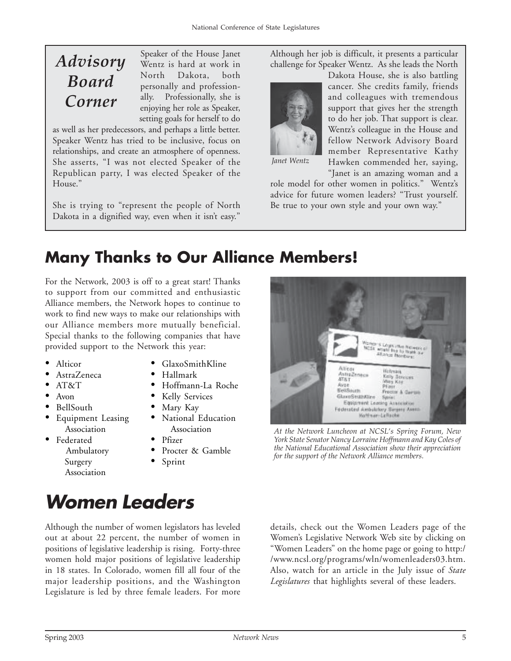### *Advisory Board Corner*

Speaker of the House Janet Wentz is hard at work in North Dakota, both personally and professionally. Professionally, she is enjoying her role as Speaker, setting goals for herself to do

as well as her predecessors, and perhaps a little better. Speaker Wentz has tried to be inclusive, focus on relationships, and create an atmosphere of openness. She asserts, "I was not elected Speaker of the Republican party, I was elected Speaker of the House."

She is trying to "represent the people of North Dakota in a dignified way, even when it isn't easy."

Although her job is difficult, it presents a particular challenge for Speaker Wentz. As she leads the North



Dakota House, she is also battling cancer. She credits family, friends and colleagues with tremendous support that gives her the strength to do her job. That support is clear. Wentz's colleague in the House and fellow Network Advisory Board member Representative Kathy Hawken commended her, saying,

*Janet Wentz*

"Janet is an amazing woman and a role model for other women in politics." Wentz's advice for future women leaders? "Trust yourself. Be true to your own style and your own way."

### **Many Thanks to Our Alliance Members!**

For the Network, 2003 is off to a great start! Thanks to support from our committed and enthusiastic Alliance members, the Network hopes to continue to work to find new ways to make our relationships with our Alliance members more mutually beneficial. Special thanks to the following companies that have provided support to the Network this year:

- Alticor
- AstraZeneca
- AT&T
- Avon
- BellSouth
- Equipment Leasing Association
- Federated
	- Ambulatory Surgery Association
- GlaxoSmithKline
- Hallmark
- Hoffmann-La Roche
- Kelly Services
- Mary Kay
- National Education Association
- Pfizer
- Procter & Gamble
- Sprint



*York State Senator Nancy Lorraine Hoffmann and Kay Coles of the National Educational Association show their appreciation for the support of the Network Alliance members.*

## **Women Leaders**

Although the number of women legislators has leveled out at about 22 percent, the number of women in positions of legislative leadership is rising. Forty-three women hold major positions of legislative leadership in 18 states. In Colorado, women fill all four of the major leadership positions, and the Washington Legislature is led by three female leaders. For more details, check out the Women Leaders page of the Women's Legislative Network Web site by clicking on "Women Leaders" on the home page or going to http:/ /www.ncsl.org/programs/wln/womenleaders03.htm. Also, watch for an article in the July issue of *State Legislatures* that highlights several of these leaders.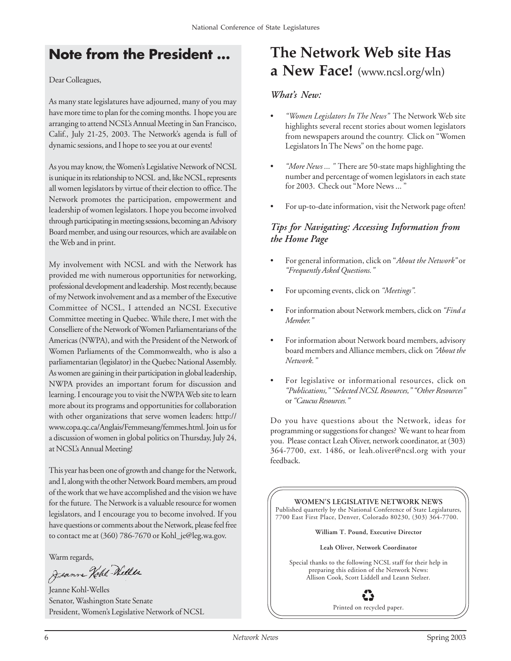### **Note from the President ...**

Dear Colleagues,

As many state legislatures have adjourned, many of you may have more time to plan for the coming months. I hope you are arranging to attend NCSL's Annual Meeting in San Francisco, Calif., July 21-25, 2003. The Network's agenda is full of dynamic sessions, and I hope to see you at our events!

As you may know, the Women's Legislative Network of NCSL is unique in its relationship to NCSL and, like NCSL, represents all women legislators by virtue of their election to office. The Network promotes the participation, empowerment and leadership of women legislators. I hope you become involved through participating in meeting sessions, becoming an Advisory Board member, and using our resources, which are available on the Web and in print.

My involvement with NCSL and with the Network has provided me with numerous opportunities for networking, professional development and leadership. Most recently, because of my Network involvement and as a member of the Executive Committee of NCSL, I attended an NCSL Executive Committee meeting in Quebec. While there, I met with the Conselliere of the Network of Women Parliamentarians of the Americas (NWPA), and with the President of the Network of Women Parliaments of the Commonwealth, who is also a parliamentarian (legislator) in the Quebec National Assembly. As women are gaining in their participation in global leadership, NWPA provides an important forum for discussion and learning. I encourage you to visit the NWPA Web site to learn more about its programs and opportunities for collaboration with other organizations that serve women leaders: http:// www.copa.qc.ca/Anglais/Femmesang/femmes.html. Join us for a discussion of women in global politics on Thursday, July 24, at NCSL's Annual Meeting!

This year has been one of growth and change for the Network, and I, along with the other Network Board members, am proud of the work that we have accomplished and the vision we have for the future. The Network is a valuable resource for women legislators, and I encourage you to become involved. If you have questions or comments about the Network, please feel free to contact me at (360) 786-7670 or Kohl\_je@leg.wa.gov.

Warm regards,<br>Jeanne *Kehl-Nellle*s

Jeanne Kohl-Welles Senator, Washington State Senate President, Women's Legislative Network of NCSL

### **The Network Web site Has a New Face! (**www.ncsl.org/wln**)**

#### *What's New:*

- *"Women Legislators In The News"* The Network Web site highlights several recent stories about women legislators from newspapers around the country. Click on "Women Legislators In The News" on the home page.
- *"More News ... "* There are 50-state maps highlighting the number and percentage of women legislators in each state for 2003. Check out "More News ... "
- For up-to-date information, visit the Network page often!

#### *Tips for Navigating: Accessing Information from the Home Page*

- For general information, click on "*About the Network"* or *"Frequently Asked Questions."*
- For upcoming events, click on *"Meetings".*
- For information about Network members, click on *"Find a Member."*
- For information about Network board members, advisory board members and Alliance members, click on *"About the Network."*
- For legislative or informational resources, click on *"Publications,""Selected NCSL Resources,""Other Resources"* or *"Caucus Resources."*

Do you have questions about the Network, ideas for programming or suggestions for changes? We want to hear from you. Please contact Leah Oliver, network coordinator, at (303) 364-7700, ext. 1486, or leah.oliver@ncsl.org with your feedback.



Printed on recycled paper.